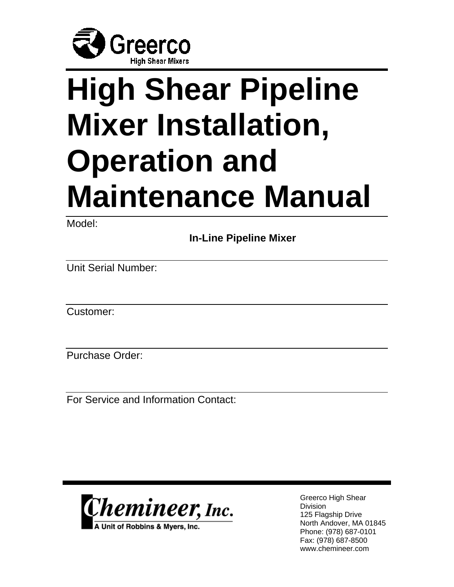

# **High Shear Pipeline Mixer Installation, Operation and Maintenance Manual**

Model:

 **In-Line Pipeline Mixer** 

Unit Serial Number:

Customer:

Purchase Order:

For Service and Information Contact:



A Unit of Robbins & Myers, Inc.

Greerco High Shear Division 125 Flagship Drive North Andover, MA 01845 Phone: (978) 687-0101 Fax: (978) 687-8500 www.chemineer.com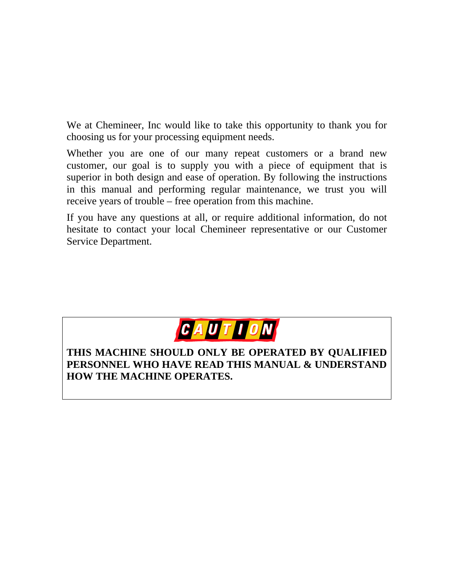We at Chemineer, Inc would like to take this opportunity to thank you for choosing us for your processing equipment needs.

Whether you are one of our many repeat customers or a brand new customer, our goal is to supply you with a piece of equipment that is superior in both design and ease of operation. By following the instructions in this manual and performing regular maintenance, we trust you will receive years of trouble – free operation from this machine.

If you have any questions at all, or require additional information, do not hesitate to contact your local Chemineer representative or our Customer Service Department.



#### **THIS MACHINE SHOULD ONLY BE OPERATED BY QUALIFIED PERSONNEL WHO HAVE READ THIS MANUAL & UNDERSTAND HOW THE MACHINE OPERATES.**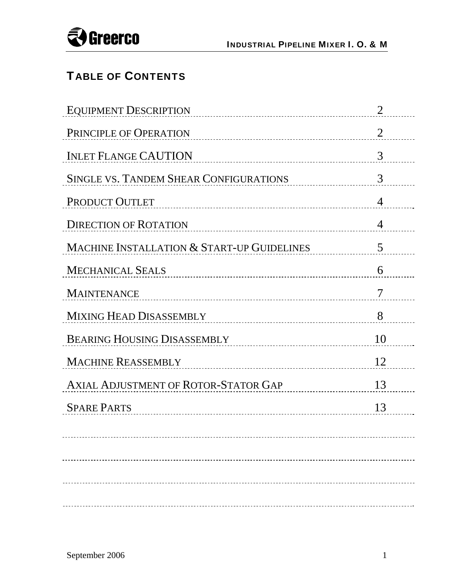

## TABLE OF CONTENTS

| <b>EQUIPMENT DESCRIPTION</b>                  | 2              |
|-----------------------------------------------|----------------|
| PRINCIPLE OF OPERATION                        | $\overline{2}$ |
| <b>INLET FLANGE CAUTION</b>                   | 3              |
| <b>SINGLE VS. TANDEM SHEAR CONFIGURATIONS</b> | 3              |
| PRODUCT OUTLET                                | $\overline{4}$ |
| <b>DIRECTION OF ROTATION</b>                  | $\overline{4}$ |
| MACHINE INSTALLATION & START-UP GUIDELINES    | 5              |
| <b>MECHANICAL SEALS</b>                       | 6              |
| <b>MAINTENANCE</b>                            | 7              |
| MIXING HEAD DISASSEMBLY                       | 8              |
| <b>BEARING HOUSING DISASSEMBLY</b>            | 10             |
| <b>MACHINE REASSEMBLY</b>                     | 12             |
| <b>AXIAL ADJUSTMENT OF ROTOR-STATOR GAP</b>   | 13             |
| <b>SPARE PARTS</b>                            | 13             |
|                                               |                |
|                                               |                |
|                                               |                |
|                                               |                |
|                                               |                |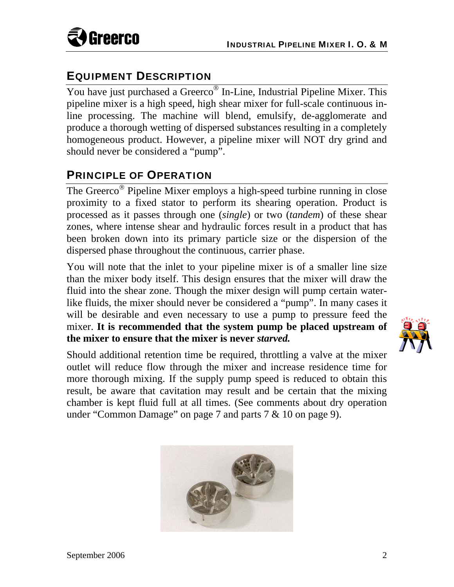

## EQUIPMENT DESCRIPTION

You have just purchased a Greerco<sup>®</sup> In-Line, Industrial Pipeline Mixer. This pipeline mixer is a high speed, high shear mixer for full-scale continuous inline processing. The machine will blend, emulsify, de-agglomerate and produce a thorough wetting of dispersed substances resulting in a completely homogeneous product. However, a pipeline mixer will NOT dry grind and should never be considered a "pump".

## PRINCIPLE OF OPERATION

The Greerco<sup>®</sup> Pipeline Mixer employs a high-speed turbine running in close proximity to a fixed stator to perform its shearing operation. Product is processed as it passes through one (*single*) or two (*tandem*) of these shear zones, where intense shear and hydraulic forces result in a product that has been broken down into its primary particle size or the dispersion of the dispersed phase throughout the continuous, carrier phase.

You will note that the inlet to your pipeline mixer is of a smaller line size than the mixer body itself. This design ensures that the mixer will draw the fluid into the shear zone. Though the mixer design will pump certain waterlike fluids, the mixer should never be considered a "pump". In many cases it will be desirable and even necessary to use a pump to pressure feed the mixer. **It is recommended that the system pump be placed upstream of the mixer to ensure that the mixer is never** *starved.*

Should additional retention time be required, throttling a valve at the mixer outlet will reduce flow through the mixer and increase residence time for more thorough mixing. If the supply pump speed is reduced to obtain this result, be aware that cavitation may result and be certain that the mixing chamber is kept fluid full at all times. (See comments about dry operation under "Common Damage" on page 7 and parts 7 & 10 on page 9).



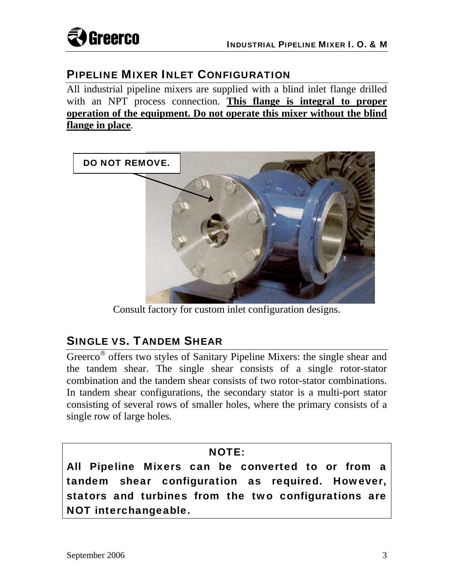

## PIPELINE MIXER INLET CONFIGURATION

All industrial pipeline mixers are supplied with a blind inlet flange drilled with an NPT process connection. **This flange is integral to proper operation of the equipment. Do not operate this mixer without the blind flange in place**.



Consult factory for custom inlet configuration designs.

## SINGLE VS. TANDEM SHEAR

Greerco<sup>®</sup> offers two styles of Sanitary Pipeline Mixers: the single shear and the tandem shear. The single shear consists of a single rotor-stator combination and the tandem shear consists of two rotor-stator combinations. In tandem shear configurations, the secondary stator is a multi-port stator consisting of several rows of smaller holes, where the primary consists of a single row of large holes.

#### NOTE:

All Pipeline Mixers can be converted to or from a tandem shear configuration as required. However, stators and turbines from the two configurations are NOT interchangeable.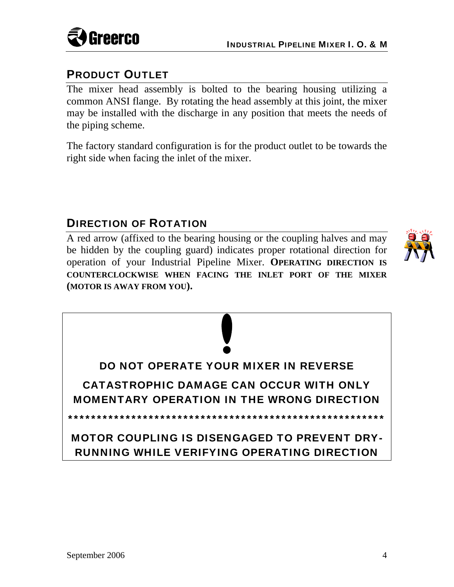

## PRODUCT OUTLET

The mixer head assembly is bolted to the bearing housing utilizing a common ANSI flange. By rotating the head assembly at this joint, the mixer may be installed with the discharge in any position that meets the needs of the piping scheme.

The factory standard configuration is for the product outlet to be towards the right side when facing the inlet of the mixer.

## DIRECTION OF ROTATION

A red arrow (affixed to the bearing housing or the coupling halves and may be hidden by the coupling guard) indicates proper rotational direction for operation of your Industrial Pipeline Mixer. **OPERATING DIRECTION IS COUNTERCLOCKWISE WHEN FACING THE INLET PORT OF THE MIXER (MOTOR IS AWAY FROM YOU).** 



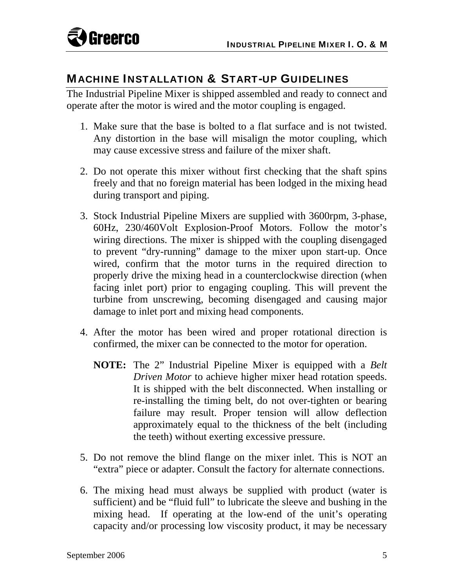

#### MACHINE INSTALLATION & START-UP GUIDELINES

The Industrial Pipeline Mixer is shipped assembled and ready to connect and operate after the motor is wired and the motor coupling is engaged.

- 1. Make sure that the base is bolted to a flat surface and is not twisted. Any distortion in the base will misalign the motor coupling, which may cause excessive stress and failure of the mixer shaft.
- 2. Do not operate this mixer without first checking that the shaft spins freely and that no foreign material has been lodged in the mixing head during transport and piping.
- 3. Stock Industrial Pipeline Mixers are supplied with 3600rpm, 3-phase, 60Hz, 230/460Volt Explosion-Proof Motors. Follow the motor's wiring directions. The mixer is shipped with the coupling disengaged to prevent "dry-running" damage to the mixer upon start-up. Once wired, confirm that the motor turns in the required direction to properly drive the mixing head in a counterclockwise direction (when facing inlet port) prior to engaging coupling. This will prevent the turbine from unscrewing, becoming disengaged and causing major damage to inlet port and mixing head components.
- 4. After the motor has been wired and proper rotational direction is confirmed, the mixer can be connected to the motor for operation.
	- **NOTE:** The 2" Industrial Pipeline Mixer is equipped with a *Belt Driven Motor* to achieve higher mixer head rotation speeds. It is shipped with the belt disconnected. When installing or re-installing the timing belt, do not over-tighten or bearing failure may result. Proper tension will allow deflection approximately equal to the thickness of the belt (including the teeth) without exerting excessive pressure.
- 5. Do not remove the blind flange on the mixer inlet. This is NOT an "extra" piece or adapter. Consult the factory for alternate connections.
- 6. The mixing head must always be supplied with product (water is sufficient) and be "fluid full" to lubricate the sleeve and bushing in the mixing head. If operating at the low-end of the unit's operating capacity and/or processing low viscosity product, it may be necessary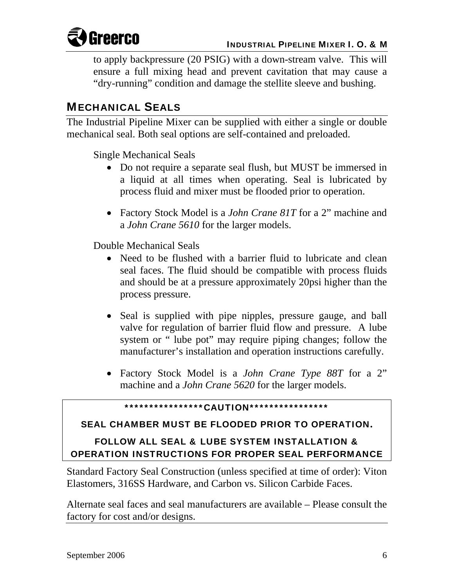

to apply backpressure (20 PSIG) with a down-stream valve. This will ensure a full mixing head and prevent cavitation that may cause a "dry-running" condition and damage the stellite sleeve and bushing.

## MECHANICAL SEALS

The Industrial Pipeline Mixer can be supplied with either a single or double mechanical seal. Both seal options are self-contained and preloaded.

Single Mechanical Seals

- Do not require a separate seal flush, but MUST be immersed in a liquid at all times when operating. Seal is lubricated by process fluid and mixer must be flooded prior to operation.
- Factory Stock Model is a *John Crane 81T* for a 2" machine and a *John Crane 5610* for the larger models.

Double Mechanical Seals

- Need to be flushed with a barrier fluid to lubricate and clean seal faces. The fluid should be compatible with process fluids and should be at a pressure approximately 20psi higher than the process pressure.
- Seal is supplied with pipe nipples, pressure gauge, and ball valve for regulation of barrier fluid flow and pressure. A lube system or " lube pot" may require piping changes; follow the manufacturer's installation and operation instructions carefully.
- Factory Stock Model is a *John Crane Type 88T* for a 2" machine and a *John Crane 5620* for the larger models.

#### \*\*\*\*\*\*\*\*\*\*\*\*\*\*\*\*CAUTION\*\*\*\*\*\*\*\*\*\*\*\*\*\*\*\*

#### SEAL CHAMBER MUST BE FLOODED PRIOR TO OPERATION**.**

#### FOLLOW ALL SEAL & LUBE SYSTEM INSTALLATION & OPERATION INSTRUCTIONS FOR PROPER SEAL PERFORMANCE

Standard Factory Seal Construction (unless specified at time of order): Viton Elastomers, 316SS Hardware, and Carbon vs. Silicon Carbide Faces.

Alternate seal faces and seal manufacturers are available – Please consult the factory for cost and/or designs.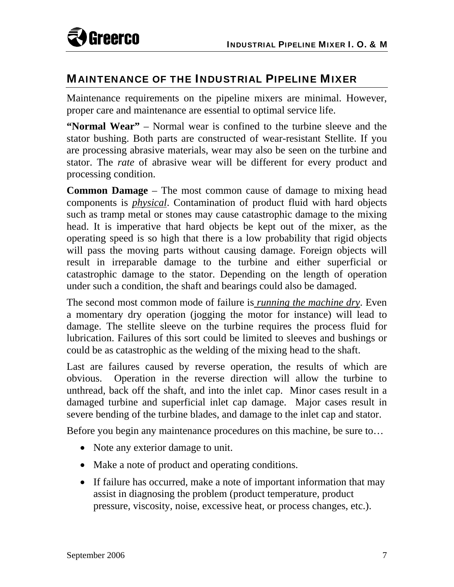

#### MAINTENANCE OF THE INDUSTRIAL PIPELINE MIXER

Maintenance requirements on the pipeline mixers are minimal. However, proper care and maintenance are essential to optimal service life.

**"Normal Wear"** – Normal wear is confined to the turbine sleeve and the stator bushing. Both parts are constructed of wear-resistant Stellite. If you are processing abrasive materials, wear may also be seen on the turbine and stator. The *rate* of abrasive wear will be different for every product and processing condition.

**Common Damage** – The most common cause of damage to mixing head components is *physical*. Contamination of product fluid with hard objects such as tramp metal or stones may cause catastrophic damage to the mixing head. It is imperative that hard objects be kept out of the mixer, as the operating speed is so high that there is a low probability that rigid objects will pass the moving parts without causing damage. Foreign objects will result in irreparable damage to the turbine and either superficial or catastrophic damage to the stator. Depending on the length of operation under such a condition, the shaft and bearings could also be damaged.

The second most common mode of failure is *running the machine dry*. Even a momentary dry operation (jogging the motor for instance) will lead to damage. The stellite sleeve on the turbine requires the process fluid for lubrication. Failures of this sort could be limited to sleeves and bushings or could be as catastrophic as the welding of the mixing head to the shaft.

Last are failures caused by reverse operation, the results of which are obvious. Operation in the reverse direction will allow the turbine to unthread, back off the shaft, and into the inlet cap. Minor cases result in a damaged turbine and superficial inlet cap damage. Major cases result in severe bending of the turbine blades, and damage to the inlet cap and stator.

Before you begin any maintenance procedures on this machine, be sure to…

- Note any exterior damage to unit.
- Make a note of product and operating conditions.
- If failure has occurred, make a note of important information that may assist in diagnosing the problem (product temperature, product pressure, viscosity, noise, excessive heat, or process changes, etc.).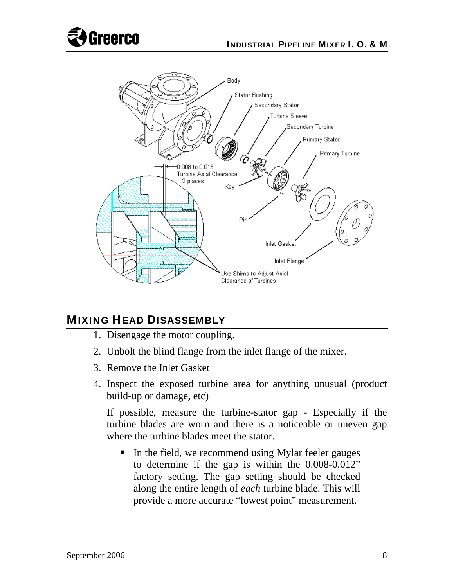



## MIXING HEAD DISASSEMBLY

- 1. Disengage the motor coupling.
- 2. Unbolt the blind flange from the inlet flange of the mixer.
- 3. Remove the Inlet Gasket
- 4. Inspect the exposed turbine area for anything unusual (product build-up or damage, etc)

If possible, measure the turbine-stator gap - Especially if the turbine blades are worn and there is a noticeable or uneven gap where the turbine blades meet the stator.

In the field, we recommend using Mylar feeler gauges to determine if the gap is within the 0.008-0.012" factory setting. The gap setting should be checked along the entire length of *each* turbine blade. This will provide a more accurate "lowest point" measurement.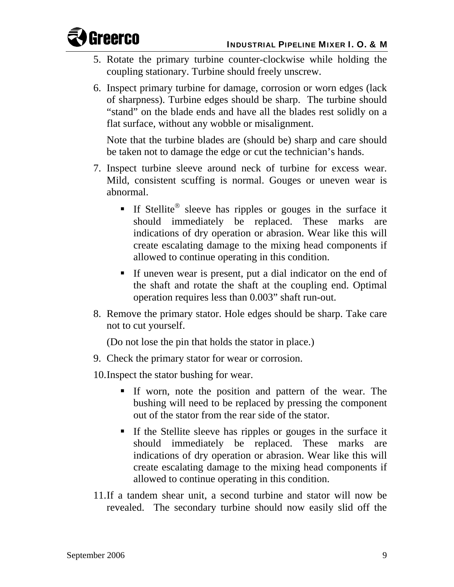

- 5. Rotate the primary turbine counter-clockwise while holding the coupling stationary. Turbine should freely unscrew.
- 6. Inspect primary turbine for damage, corrosion or worn edges (lack of sharpness). Turbine edges should be sharp. The turbine should "stand" on the blade ends and have all the blades rest solidly on a flat surface, without any wobble or misalignment.

Note that the turbine blades are (should be) sharp and care should be taken not to damage the edge or cut the technician's hands.

- 7. Inspect turbine sleeve around neck of turbine for excess wear. Mild, consistent scuffing is normal. Gouges or uneven wear is abnormal.
	- If Stellite<sup>®</sup> sleeve has ripples or gouges in the surface it should immediately be replaced. These marks are indications of dry operation or abrasion. Wear like this will create escalating damage to the mixing head components if allowed to continue operating in this condition.
	- If uneven wear is present, put a dial indicator on the end of the shaft and rotate the shaft at the coupling end. Optimal operation requires less than 0.003" shaft run-out.
- 8. Remove the primary stator. Hole edges should be sharp. Take care not to cut yourself.

(Do not lose the pin that holds the stator in place.)

- 9. Check the primary stator for wear or corrosion.
- 10.Inspect the stator bushing for wear.
	- If worn, note the position and pattern of the wear. The bushing will need to be replaced by pressing the component out of the stator from the rear side of the stator.
	- If the Stellite sleeve has ripples or gouges in the surface it should immediately be replaced. These marks are indications of dry operation or abrasion. Wear like this will create escalating damage to the mixing head components if allowed to continue operating in this condition.
- 11.If a tandem shear unit, a second turbine and stator will now be revealed. The secondary turbine should now easily slid off the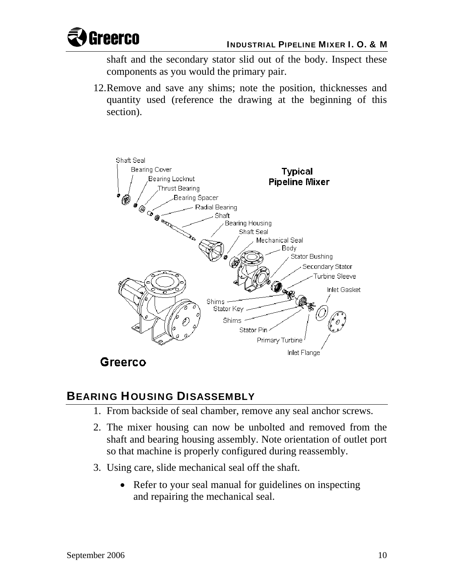

shaft and the secondary stator slid out of the body. Inspect these components as you would the primary pair.

12.Remove and save any shims; note the position, thicknesses and quantity used (reference the drawing at the beginning of this section).



# BEARING HOUSING DISASSEMBLY

- 1. From backside of seal chamber, remove any seal anchor screws.
- 2. The mixer housing can now be unbolted and removed from the shaft and bearing housing assembly. Note orientation of outlet port so that machine is properly configured during reassembly.
- 3. Using care, slide mechanical seal off the shaft.
	- Refer to your seal manual for guidelines on inspecting and repairing the mechanical seal.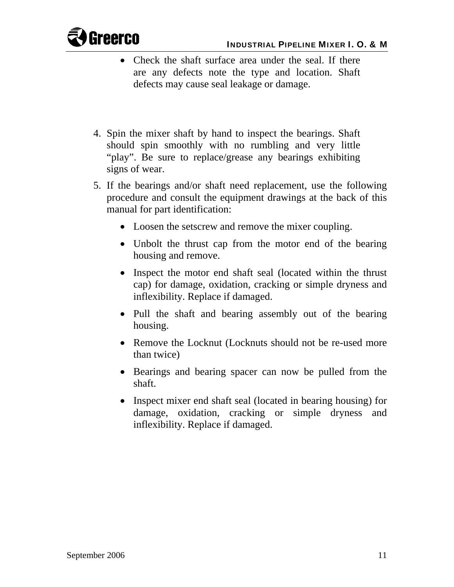

- Check the shaft surface area under the seal. If there are any defects note the type and location. Shaft defects may cause seal leakage or damage.
- 4. Spin the mixer shaft by hand to inspect the bearings. Shaft should spin smoothly with no rumbling and very little "play". Be sure to replace/grease any bearings exhibiting signs of wear.
- 5. If the bearings and/or shaft need replacement, use the following procedure and consult the equipment drawings at the back of this manual for part identification:
	- Loosen the setscrew and remove the mixer coupling.
	- Unbolt the thrust cap from the motor end of the bearing housing and remove.
	- Inspect the motor end shaft seal (located within the thrust cap) for damage, oxidation, cracking or simple dryness and inflexibility. Replace if damaged.
	- Pull the shaft and bearing assembly out of the bearing housing.
	- Remove the Locknut (Locknuts should not be re-used more than twice)
	- Bearings and bearing spacer can now be pulled from the shaft.
	- Inspect mixer end shaft seal (located in bearing housing) for damage, oxidation, cracking or simple dryness and inflexibility. Replace if damaged.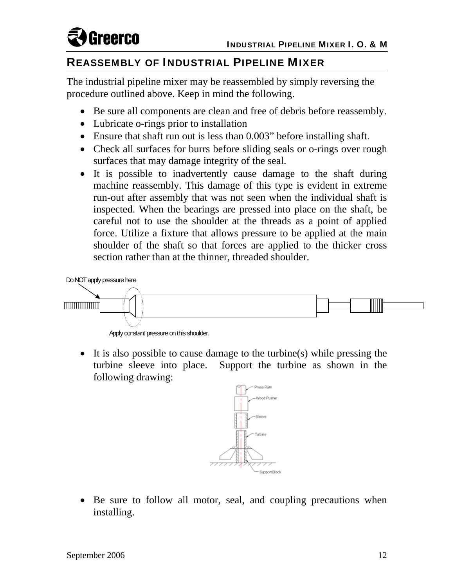

### REASSEMBLY OF INDUSTRIAL PIPELINE MIXER

The industrial pipeline mixer may be reassembled by simply reversing the procedure outlined above. Keep in mind the following.

- Be sure all components are clean and free of debris before reassembly.
- Lubricate o-rings prior to installation
- Ensure that shaft run out is less than 0.003" before installing shaft.
- Check all surfaces for burrs before sliding seals or o-rings over rough surfaces that may damage integrity of the seal.
- It is possible to inadvertently cause damage to the shaft during machine reassembly. This damage of this type is evident in extreme run-out after assembly that was not seen when the individual shaft is inspected. When the bearings are pressed into place on the shaft, be careful not to use the shoulder at the threads as a point of applied force. Utilize a fixture that allows pressure to be applied at the main shoulder of the shaft so that forces are applied to the thicker cross section rather than at the thinner, threaded shoulder.



Apply constant pressure on this shoulder.

 It is also possible to cause damage to the turbine(s) while pressing the turbine sleeve into place. Support the turbine as shown in the following drawing:



 Be sure to follow all motor, seal, and coupling precautions when installing.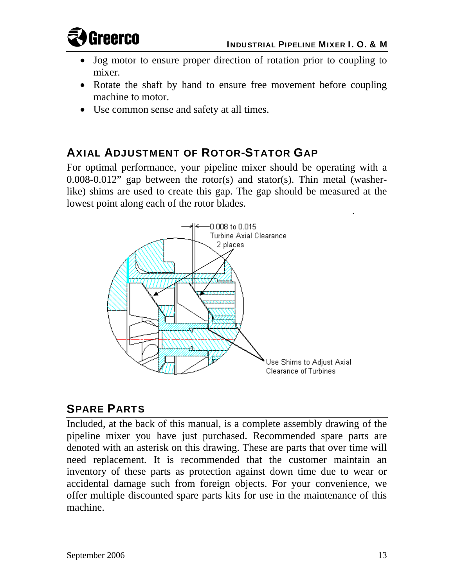

- Jog motor to ensure proper direction of rotation prior to coupling to mixer.
- Rotate the shaft by hand to ensure free movement before coupling machine to motor.
- Use common sense and safety at all times.

## AXIAL ADJUSTMENT OF ROTOR-STATOR GAP

For optimal performance, your pipeline mixer should be operating with a 0.008-0.012" gap between the rotor(s) and stator(s). Thin metal (washerlike) shims are used to create this gap. The gap should be measured at the lowest point along each of the rotor blades.



## SPARE PARTS

Included, at the back of this manual, is a complete assembly drawing of the pipeline mixer you have just purchased. Recommended spare parts are denoted with an asterisk on this drawing. These are parts that over time will need replacement. It is recommended that the customer maintain an inventory of these parts as protection against down time due to wear or accidental damage such from foreign objects. For your convenience, we offer multiple discounted spare parts kits for use in the maintenance of this machine.